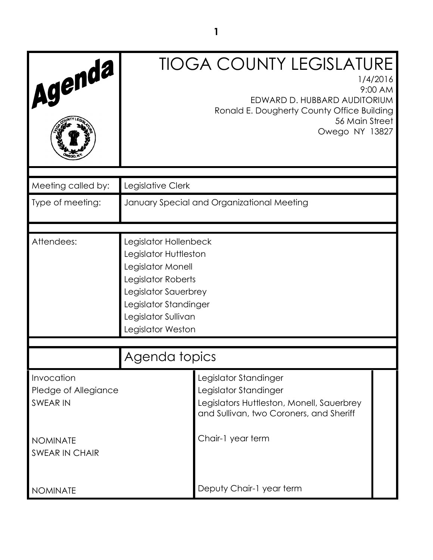| Agenda                                                |                                                                                                                                                                                        | <b>TIOGA COUNTY LEGISLATURE</b><br>1/4/2016<br>9:00 AM<br>EDWARD D. HUBBARD AUDITORIUM<br>Ronald E. Dougherty County Office Building<br>56 Main Street<br>Owego NY 13827 |  |  |
|-------------------------------------------------------|----------------------------------------------------------------------------------------------------------------------------------------------------------------------------------------|--------------------------------------------------------------------------------------------------------------------------------------------------------------------------|--|--|
| Meeting called by:                                    | Legislative Clerk                                                                                                                                                                      |                                                                                                                                                                          |  |  |
| Type of meeting:                                      | January Special and Organizational Meeting                                                                                                                                             |                                                                                                                                                                          |  |  |
| Attendees:                                            | Legislator Hollenbeck<br>Legislator Huttleston<br>Legislator Monell<br>Legislator Roberts<br>Legislator Sauerbrey<br>Legislator Standinger<br>Legislator Sullivan<br>Legislator Weston |                                                                                                                                                                          |  |  |
|                                                       | Agenda topics                                                                                                                                                                          |                                                                                                                                                                          |  |  |
| Invocation<br>Pledge of Allegiance<br><b>SWEAR IN</b> |                                                                                                                                                                                        | Legislator Standinger<br>Legislator Standinger<br>Legislators Huttleston, Monell, Sauerbrey<br>and Sullivan, two Coroners, and Sheriff                                   |  |  |
| <b>NOMINATE</b><br><b>SWEAR IN CHAIR</b>              |                                                                                                                                                                                        | Chair-1 year term                                                                                                                                                        |  |  |
| <b>NOMINATE</b>                                       |                                                                                                                                                                                        | Deputy Chair-1 year term                                                                                                                                                 |  |  |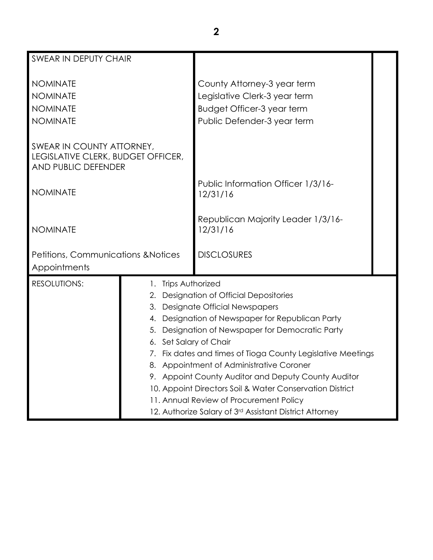| <b>SWEAR IN DEPUTY CHAIR</b>                                                           |  |                                                                                                                                                                                                                                                                                                                                                                                                                                                                                                                                                                          |  |
|----------------------------------------------------------------------------------------|--|--------------------------------------------------------------------------------------------------------------------------------------------------------------------------------------------------------------------------------------------------------------------------------------------------------------------------------------------------------------------------------------------------------------------------------------------------------------------------------------------------------------------------------------------------------------------------|--|
| <b>NOMINATE</b><br><b>NOMINATE</b><br><b>NOMINATE</b><br><b>NOMINATE</b>               |  | County Attorney-3 year term<br>Legislative Clerk-3 year term<br>Budget Officer-3 year term<br>Public Defender-3 year term                                                                                                                                                                                                                                                                                                                                                                                                                                                |  |
| SWEAR IN COUNTY ATTORNEY,<br>LEGISLATIVE CLERK, BUDGET OFFICER,<br>AND PUBLIC DEFENDER |  |                                                                                                                                                                                                                                                                                                                                                                                                                                                                                                                                                                          |  |
| <b>NOMINATE</b>                                                                        |  | Public Information Officer 1/3/16-<br>12/31/16                                                                                                                                                                                                                                                                                                                                                                                                                                                                                                                           |  |
| <b>NOMINATE</b>                                                                        |  | Republican Majority Leader 1/3/16-<br>12/31/16                                                                                                                                                                                                                                                                                                                                                                                                                                                                                                                           |  |
| Petitions, Communications & Notices<br>Appointments                                    |  | <b>DISCLOSURES</b>                                                                                                                                                                                                                                                                                                                                                                                                                                                                                                                                                       |  |
| <b>RESOLUTIONS:</b>                                                                    |  | 1. Trips Authorized<br>2. Designation of Official Depositories<br>3. Designate Official Newspapers<br>4. Designation of Newspaper for Republican Party<br>5. Designation of Newspaper for Democratic Party<br>6. Set Salary of Chair<br>7. Fix dates and times of Tioga County Legislative Meetings<br>8. Appointment of Administrative Coroner<br>9. Appoint County Auditor and Deputy County Auditor<br>10. Appoint Directors Soil & Water Conservation District<br>11. Annual Review of Procurement Policy<br>12. Authorize Salary of 3rd Assistant District Attorney |  |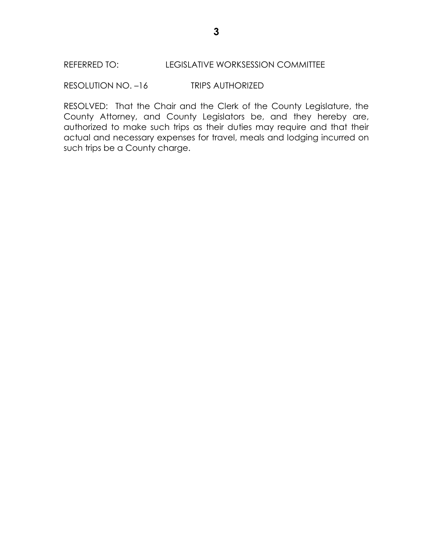RESOLUTION NO. –16 TRIPS AUTHORIZED

RESOLVED: That the Chair and the Clerk of the County Legislature, the County Attorney, and County Legislators be, and they hereby are, authorized to make such trips as their duties may require and that their actual and necessary expenses for travel, meals and lodging incurred on such trips be a County charge.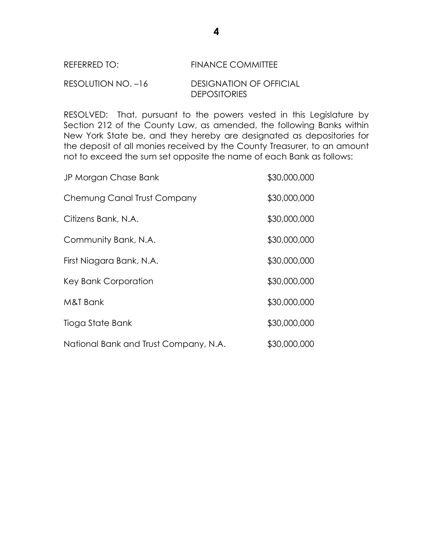## REFERRED TO: FINANCE COMMITTEE

#### RESOLUTION NO. –16 DESIGNATION OF OFFICIAL DEPOSITORIES

RESOLVED: That, pursuant to the powers vested in this Legislature by Section 212 of the County Law, as amended, the following Banks within New York State be, and they hereby are designated as depositories for the deposit of all monies received by the County Treasurer, to an amount not to exceed the sum set opposite the name of each Bank as follows:

| JP Morgan Chase Bank                  | \$30,000,000 |
|---------------------------------------|--------------|
| Chemung Canal Trust Company           | \$30,000,000 |
| Citizens Bank, N.A.                   | \$30,000,000 |
| Community Bank, N.A.                  | \$30,000,000 |
| First Niagara Bank, N.A.              | \$30,000,000 |
| Key Bank Corporation                  | \$30,000,000 |
| M&T Bank                              | \$30,000,000 |
| Tioga State Bank                      | \$30,000,000 |
| National Bank and Trust Company, N.A. | \$30,000,000 |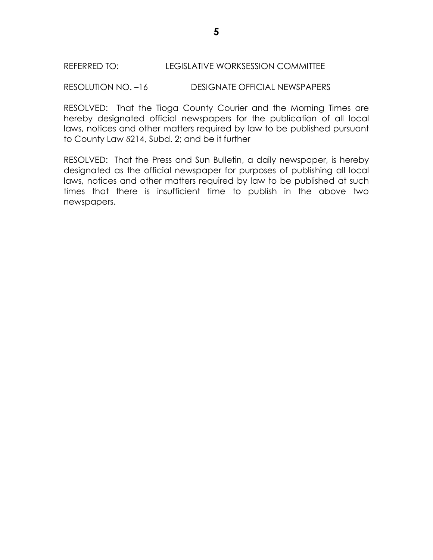#### REFERRED TO: LEGISLATIVE WORKSESSION COMMITTEE

#### RESOLUTION NO. –16 DESIGNATE OFFICIAL NEWSPAPERS

RESOLVED: That the Tioga County Courier and the Morning Times are hereby designated official newspapers for the publication of all local laws, notices and other matters required by law to be published pursuant to County Law  $\delta$ 214, Subd. 2; and be it further

RESOLVED: That the Press and Sun Bulletin, a daily newspaper, is hereby designated as the official newspaper for purposes of publishing all local laws, notices and other matters required by law to be published at such times that there is insufficient time to publish in the above two newspapers.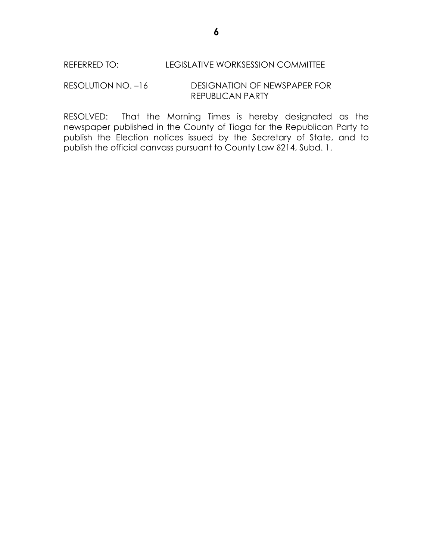#### RESOLUTION NO. –16 DESIGNATION OF NEWSPAPER FOR REPUBLICAN PARTY

RESOLVED: That the Morning Times is hereby designated as the newspaper published in the County of Tioga for the Republican Party to publish the Election notices issued by the Secretary of State, and to publish the official canvass pursuant to County Law 214, Subd. 1.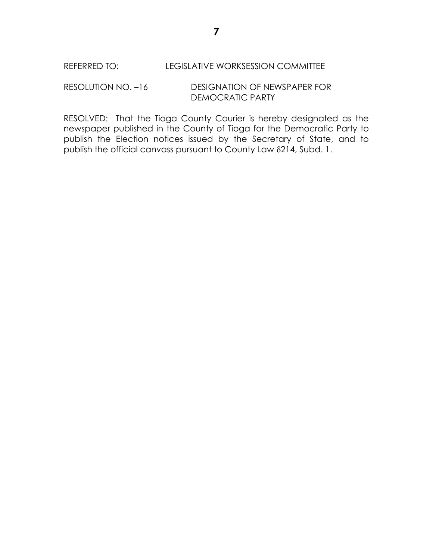RESOLUTION NO. –16 DESIGNATION OF NEWSPAPER FOR DEMOCRATIC PARTY

RESOLVED: That the Tioga County Courier is hereby designated as the newspaper published in the County of Tioga for the Democratic Party to publish the Election notices issued by the Secretary of State, and to publish the official canvass pursuant to County Law 214, Subd. 1.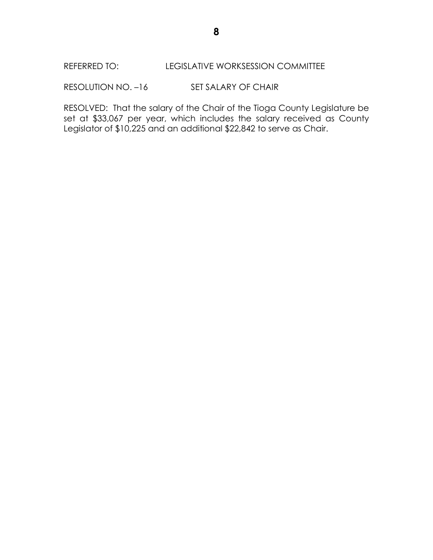### REFERRED TO: LEGISLATIVE WORKSESSION COMMITTEE

RESOLUTION NO. -16 SET SALARY OF CHAIR

RESOLVED: That the salary of the Chair of the Tioga County Legislature be set at \$33,067 per year, which includes the salary received as County Legislator of \$10,225 and an additional \$22,842 to serve as Chair.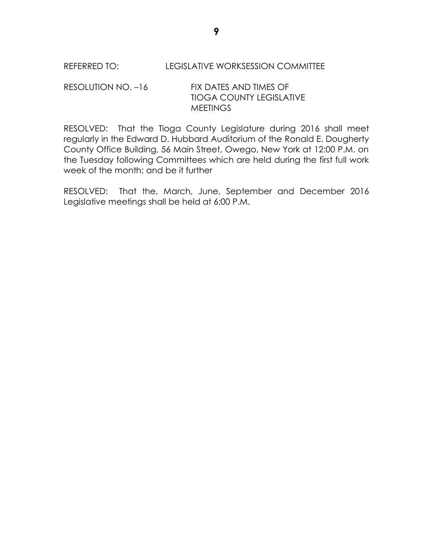REFERRED TO: LEGISLATIVE WORKSESSION COMMITTEE

### RESOLUTION NO. -16 FIX DATES AND TIMES OF TIOGA COUNTY LEGISLATIVE **MEETINGS**

RESOLVED: That the Tioga County Legislature during 2016 shall meet regularly in the Edward D. Hubbard Auditorium of the Ronald E. Dougherty County Office Building, 56 Main Street, Owego, New York at 12:00 P.M. on the Tuesday following Committees which are held during the first full work week of the month; and be it further

RESOLVED: That the, March, June, September and December 2016 Legislative meetings shall be held at 6:00 P.M.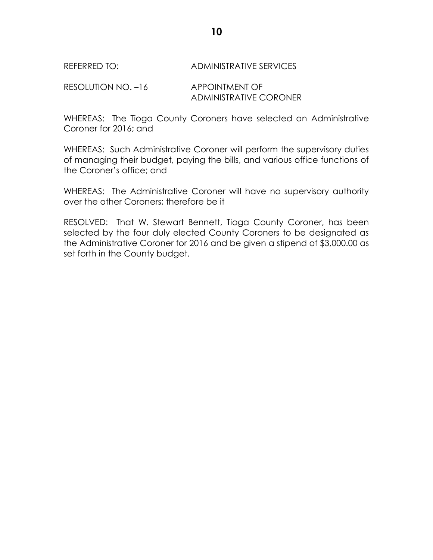#### REFERRED TO: ADMINISTRATIVE SERVICES

RESOLUTION NO. -16 APPOINTMENT OF ADMINISTRATIVE CORONER

WHEREAS: The Tioga County Coroners have selected an Administrative Coroner for 2016; and

WHEREAS: Such Administrative Coroner will perform the supervisory duties of managing their budget, paying the bills, and various office functions of the Coroner's office; and

WHEREAS: The Administrative Coroner will have no supervisory authority over the other Coroners; therefore be it

RESOLVED: That W. Stewart Bennett, Tioga County Coroner, has been selected by the four duly elected County Coroners to be designated as the Administrative Coroner for 2016 and be given a stipend of \$3,000.00 as set forth in the County budget.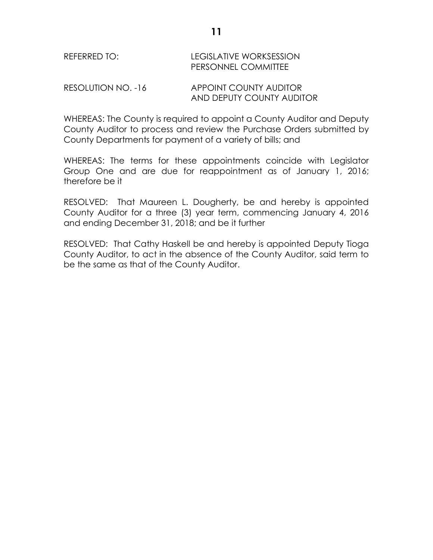# REFERRED TO: LEGISLATIVE WORKSESSION PERSONNEL COMMITTEE

RESOLUTION NO. -16 APPOINT COUNTY AUDITOR AND DEPUTY COUNTY AUDITOR

WHEREAS: The County is required to appoint a County Auditor and Deputy County Auditor to process and review the Purchase Orders submitted by County Departments for payment of a variety of bills; and

WHEREAS: The terms for these appointments coincide with Legislator Group One and are due for reappointment as of January 1, 2016; therefore be it

RESOLVED: That Maureen L. Dougherty, be and hereby is appointed County Auditor for a three (3) year term, commencing January 4, 2016 and ending December 31, 2018; and be it further

RESOLVED: That Cathy Haskell be and hereby is appointed Deputy Tioga County Auditor, to act in the absence of the County Auditor, said term to be the same as that of the County Auditor.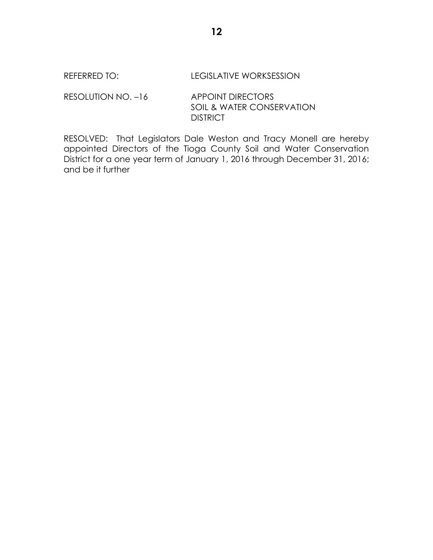#### REFERRED TO: LEGISLATIVE WORKSESSION

RESOLUTION NO. -16 APPOINT DIRECTORS SOIL & WATER CONSERVATION **DISTRICT** 

RESOLVED: That Legislators Dale Weston and Tracy Monell are hereby appointed Directors of the Tioga County Soil and Water Conservation District for a one year term of January 1, 2016 through December 31, 2016; and be it further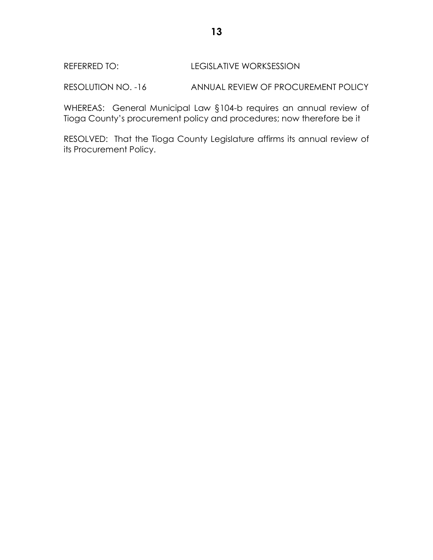## REFERRED TO: LEGISLATIVE WORKSESSION

RESOLUTION NO. -16 ANNUAL REVIEW OF PROCUREMENT POLICY

WHEREAS: General Municipal Law §104-b requires an annual review of Tioga County's procurement policy and procedures; now therefore be it

RESOLVED: That the Tioga County Legislature affirms its annual review of its Procurement Policy.